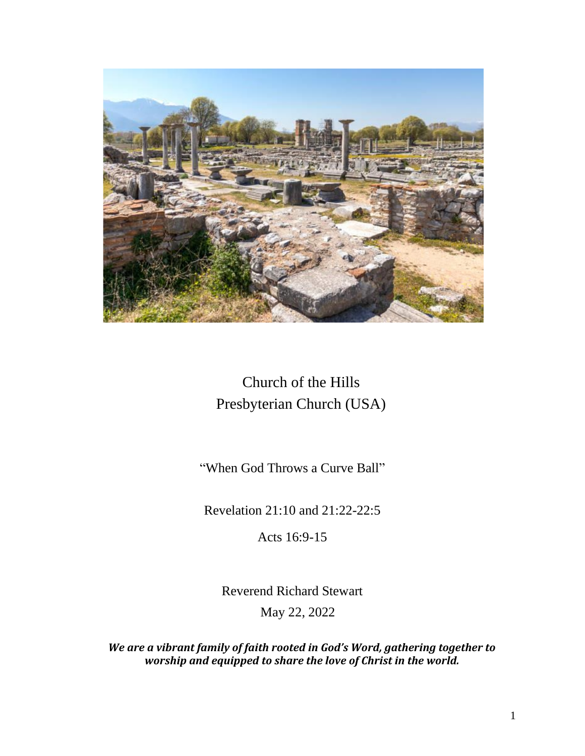

Church of the Hills Presbyterian Church (USA)

"When God Throws a Curve Ball"

Revelation 21:10 and 21:22-22:5

Acts 16:9-15

Reverend Richard Stewart May 22, 2022

*We are a vibrant family of faith rooted in God's Word, gathering together to worship and equipped to share the love of Christ in the world.*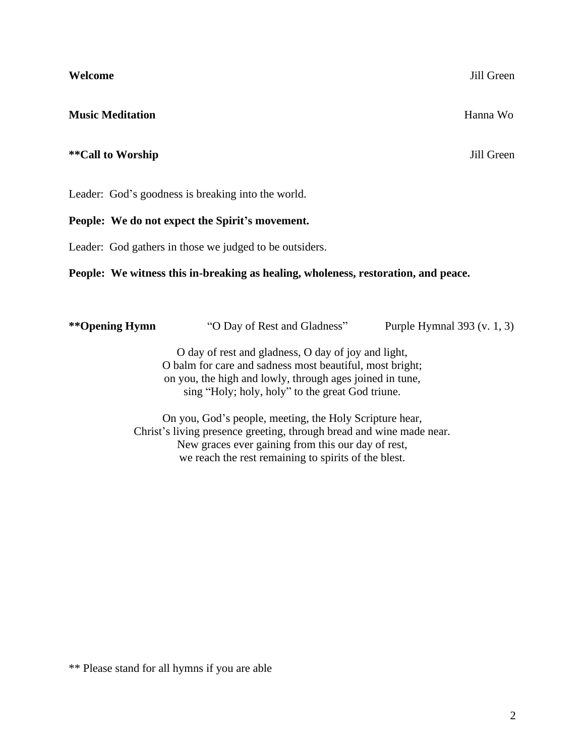| Welcome                 |                                                                                                                                                                                                                                               | Jill Green                    |
|-------------------------|-----------------------------------------------------------------------------------------------------------------------------------------------------------------------------------------------------------------------------------------------|-------------------------------|
| <b>Music Meditation</b> |                                                                                                                                                                                                                                               | Hanna Wo                      |
| ** Call to Worship      |                                                                                                                                                                                                                                               | Jill Green                    |
|                         | Leader: God's goodness is breaking into the world.                                                                                                                                                                                            |                               |
|                         | People: We do not expect the Spirit's movement.                                                                                                                                                                                               |                               |
|                         | Leader: God gathers in those we judged to be outsiders.                                                                                                                                                                                       |                               |
|                         | People: We witness this in-breaking as healing, wholeness, restoration, and peace.                                                                                                                                                            |                               |
| **Opening Hymn          | "O Day of Rest and Gladness"                                                                                                                                                                                                                  | Purple Hymnal $393$ (v. 1, 3) |
|                         | O day of rest and gladness, O day of joy and light,<br>O balm for care and sadness most beautiful, most bright;<br>on you, the high and lowly, through ages joined in tune,<br>sing "Holy; holy, holy" to the great God triune.               |                               |
|                         | On you, God's people, meeting, the Holy Scripture hear,<br>Christ's living presence greeting, through bread and wine made near.<br>New graces ever gaining from this our day of rest,<br>we reach the rest remaining to spirits of the blest. |                               |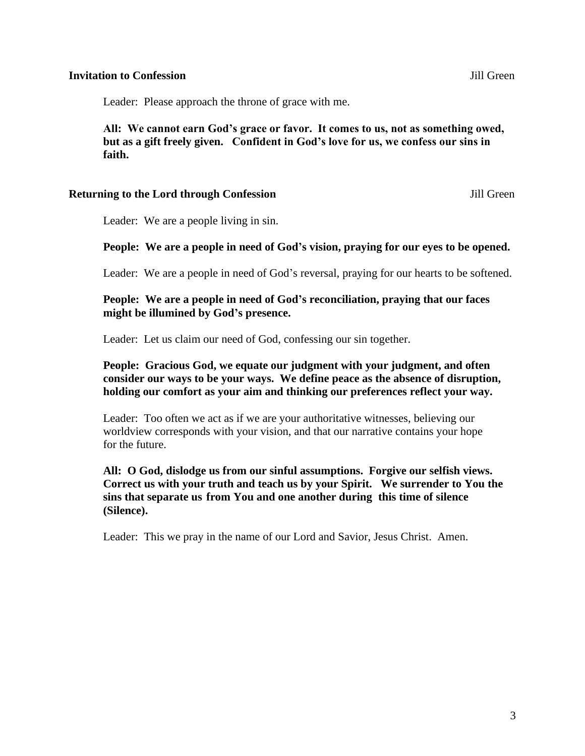#### **Invitation to Confession** Jill Green

Leader: Please approach the throne of grace with me.

**All: We cannot earn God's grace or favor. It comes to us, not as something owed, but as a gift freely given. Confident in God's love for us, we confess our sins in faith.** 

### **Returning to the Lord through Confession** Jill Green

Leader: We are a people living in sin.

#### **People: We are a people in need of God's vision, praying for our eyes to be opened.**

Leader: We are a people in need of God's reversal, praying for our hearts to be softened.

#### **People: We are a people in need of God's reconciliation, praying that our faces might be illumined by God's presence.**

Leader: Let us claim our need of God, confessing our sin together.

**People: Gracious God, we equate our judgment with your judgment, and often consider our ways to be your ways. We define peace as the absence of disruption, holding our comfort as your aim and thinking our preferences reflect your way.** 

Leader: Too often we act as if we are your authoritative witnesses, believing our worldview corresponds with your vision, and that our narrative contains your hope for the future.

**All: O God, dislodge us from our sinful assumptions. Forgive our selfish views. Correct us with your truth and teach us by your Spirit. We surrender to You the sins that separate us from You and one another during this time of silence (Silence).** 

Leader: This we pray in the name of our Lord and Savior, Jesus Christ. Amen.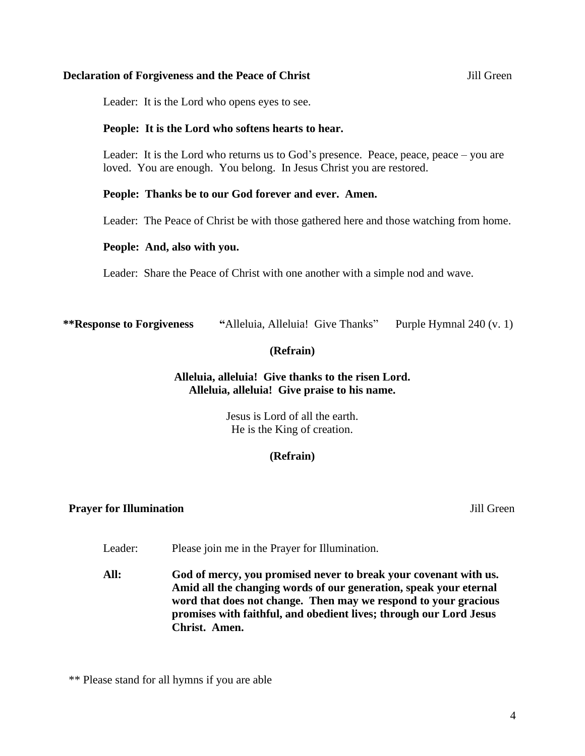#### **Declaration of Forgiveness and the Peace of Christ** Jill Green

Leader: It is the Lord who opens eyes to see.

#### **People: It is the Lord who softens hearts to hear.**

Leader: It is the Lord who returns us to God's presence. Peace, peace, peace – you are loved. You are enough. You belong. In Jesus Christ you are restored.

#### **People: Thanks be to our God forever and ever. Amen.**

Leader: The Peace of Christ be with those gathered here and those watching from home.

#### **People: And, also with you.**

Leader: Share the Peace of Christ with one another with a simple nod and wave.

 **\*\*Response to Forgiveness "**Alleluia, Alleluia! Give Thanks" Purple Hymnal 240 (v. 1)

#### **(Refrain)**

#### **Alleluia, alleluia! Give thanks to the risen Lord. Alleluia, alleluia! Give praise to his name.**

Jesus is Lord of all the earth. He is the King of creation.

## **(Refrain)**

#### **Prayer for Illumination** *Jill Green*

Leader: Please join me in the Prayer for Illumination.

**All: God of mercy, you promised never to break your covenant with us. Amid all the changing words of our generation, speak your eternal word that does not change. Then may we respond to your gracious promises with faithful, and obedient lives; through our Lord Jesus Christ. Amen.** 

4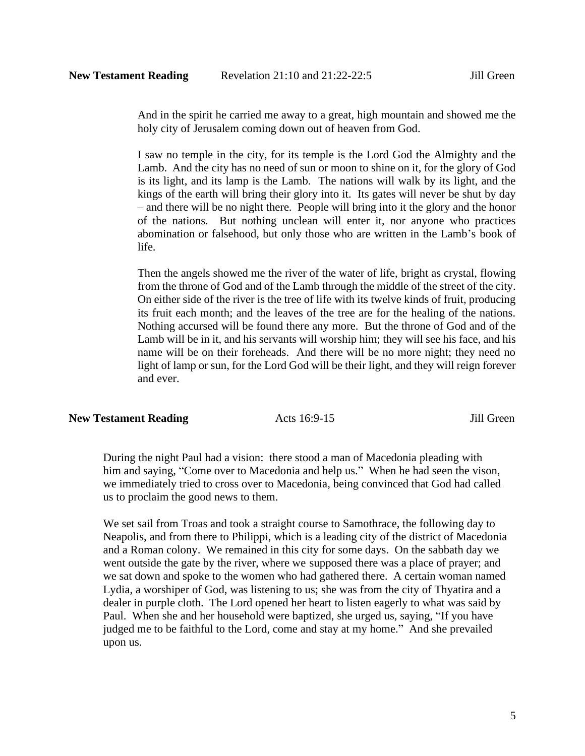And in the spirit he carried me away to a great, high mountain and showed me the holy city of Jerusalem coming down out of heaven from God.

I saw no temple in the city, for its temple is the Lord God the Almighty and the Lamb. And the city has no need of sun or moon to shine on it, for the glory of God is its light, and its lamp is the Lamb. The nations will walk by its light, and the kings of the earth will bring their glory into it. Its gates will never be shut by day – and there will be no night there. People will bring into it the glory and the honor of the nations. But nothing unclean will enter it, nor anyone who practices abomination or falsehood, but only those who are written in the Lamb's book of life.

Then the angels showed me the river of the water of life, bright as crystal, flowing from the throne of God and of the Lamb through the middle of the street of the city. On either side of the river is the tree of life with its twelve kinds of fruit, producing its fruit each month; and the leaves of the tree are for the healing of the nations. Nothing accursed will be found there any more. But the throne of God and of the Lamb will be in it, and his servants will worship him; they will see his face, and his name will be on their foreheads. And there will be no more night; they need no light of lamp or sun, for the Lord God will be their light, and they will reign forever and ever.

#### **New Testament Reading** Acts 16:9-15 Jill Green

During the night Paul had a vision: there stood a man of Macedonia pleading with him and saying, "Come over to Macedonia and help us." When he had seen the vison, we immediately tried to cross over to Macedonia, being convinced that God had called us to proclaim the good news to them.

We set sail from Troas and took a straight course to Samothrace, the following day to Neapolis, and from there to Philippi, which is a leading city of the district of Macedonia and a Roman colony. We remained in this city for some days. On the sabbath day we went outside the gate by the river, where we supposed there was a place of prayer; and we sat down and spoke to the women who had gathered there. A certain woman named Lydia, a worshiper of God, was listening to us; she was from the city of Thyatira and a dealer in purple cloth. The Lord opened her heart to listen eagerly to what was said by Paul. When she and her household were baptized, she urged us, saying, "If you have judged me to be faithful to the Lord, come and stay at my home." And she prevailed upon us.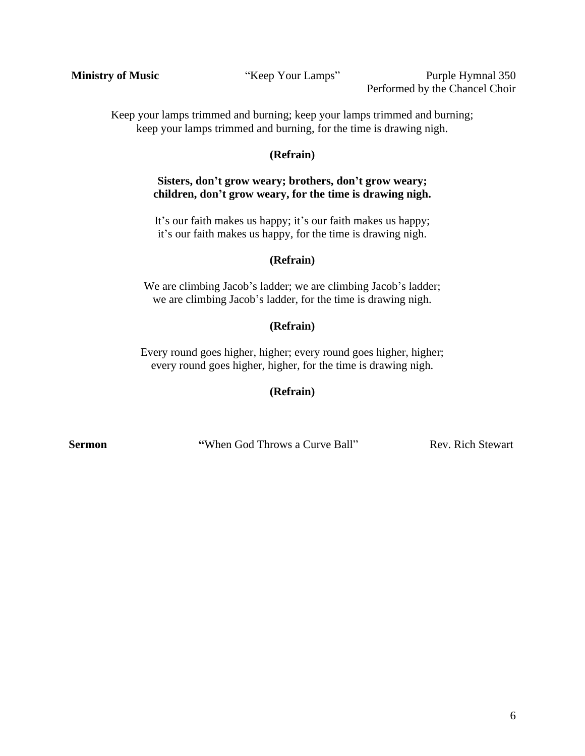**Ministry of Music • The "Keep Your Lamps" Purple Hymnal 350** Performed by the Chancel Choir

Keep your lamps trimmed and burning; keep your lamps trimmed and burning; keep your lamps trimmed and burning, for the time is drawing nigh.

#### **(Refrain)**

#### **Sisters, don't grow weary; brothers, don't grow weary; children, don't grow weary, for the time is drawing nigh.**

It's our faith makes us happy; it's our faith makes us happy; it's our faith makes us happy, for the time is drawing nigh.

#### **(Refrain)**

We are climbing Jacob's ladder; we are climbing Jacob's ladder; we are climbing Jacob's ladder, for the time is drawing nigh.

#### **(Refrain)**

Every round goes higher, higher; every round goes higher, higher; every round goes higher, higher, for the time is drawing nigh.

#### **(Refrain)**

**Sermon** "When God Throws a Curve Ball" Rev. Rich Stewart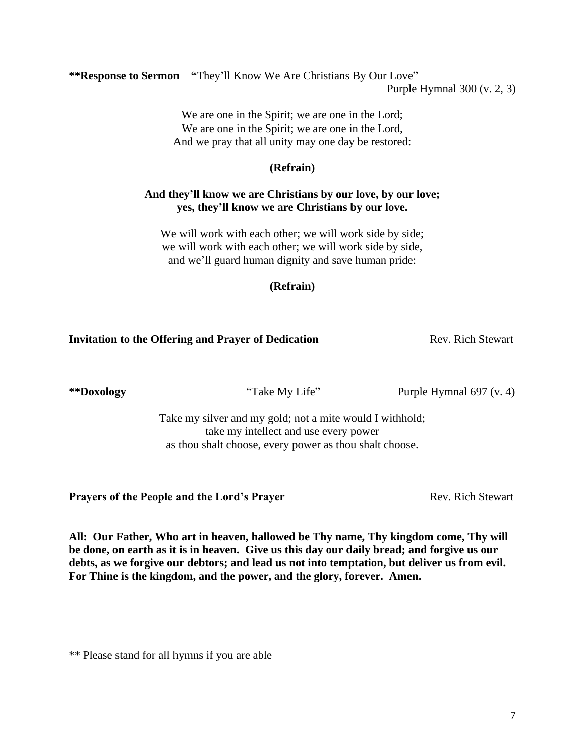7

#### **\*\*Response to Sermon "**They'll Know We Are Christians By Our Love" Purple Hymnal 300 (v. 2, 3)

We are one in the Spirit; we are one in the Lord; We are one in the Spirit; we are one in the Lord, And we pray that all unity may one day be restored:

### **(Refrain)**

#### **And they'll know we are Christians by our love, by our love; yes, they'll know we are Christians by our love.**

We will work with each other; we will work side by side; we will work with each other; we will work side by side, and we'll guard human dignity and save human pride:

#### **(Refrain)**

#### **Invitation to the Offering and Prayer of Dedication** Rev. Rich Stewart

**\*\*Doxology** "Take My Life" Purple Hymnal 697 (v. 4)

Take my silver and my gold; not a mite would I withhold; take my intellect and use every power as thou shalt choose, every power as thou shalt choose.

**Prayers of the People and the Lord's Prayer** Rev. Rich Stewart

**All: Our Father, Who art in heaven, hallowed be Thy name, Thy kingdom come, Thy will be done, on earth as it is in heaven. Give us this day our daily bread; and forgive us our debts, as we forgive our debtors; and lead us not into temptation, but deliver us from evil. For Thine is the kingdom, and the power, and the glory, forever. Amen.** 

\*\* Please stand for all hymns if you are able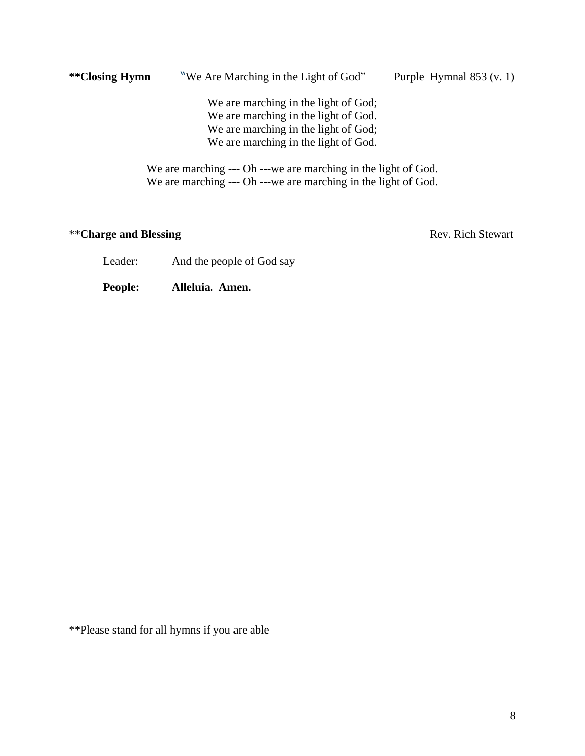| **Closing Hymn                                                 | "We Are Marching in the Light of God"                          | Purple Hymnal $853$ (v. 1) |
|----------------------------------------------------------------|----------------------------------------------------------------|----------------------------|
|                                                                | We are marching in the light of God;                           |                            |
| We are marching in the light of God.                           |                                                                |                            |
|                                                                | We are marching in the light of God;                           |                            |
|                                                                | We are marching in the light of God.                           |                            |
|                                                                | We are marching --- Oh ---we are marching in the light of God. |                            |
| We are marching --- Oh ---we are marching in the light of God. |                                                                |                            |

# \*\***Charge and Blessing Rev. Rich Stewart Rev. Rich Stewart**

Leader: And the people of God say

**People: Alleluia. Amen.**

\*\*Please stand for all hymns if you are able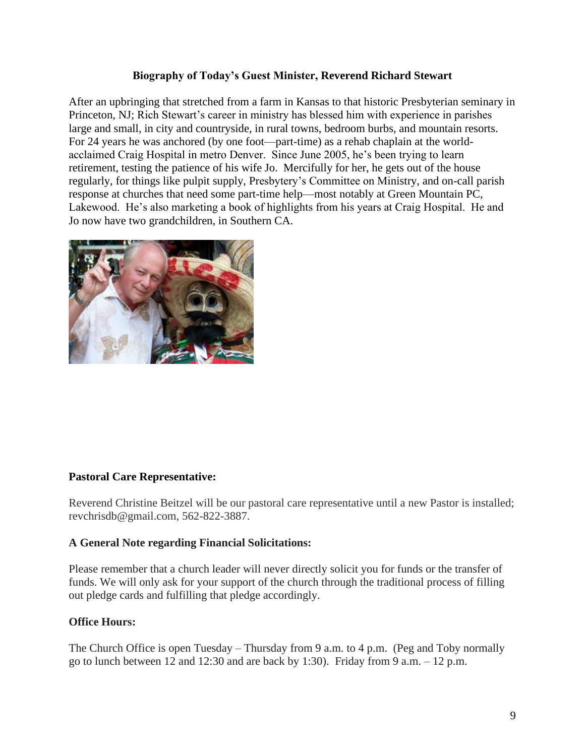#### **Biography of Today's Guest Minister, Reverend Richard Stewart**

After an upbringing that stretched from a farm in Kansas to that historic Presbyterian seminary in Princeton, NJ; Rich Stewart's career in ministry has blessed him with experience in parishes large and small, in city and countryside, in rural towns, bedroom burbs, and mountain resorts. For 24 years he was anchored (by one foot—part-time) as a rehab chaplain at the worldacclaimed Craig Hospital in metro Denver. Since June 2005, he's been trying to learn retirement, testing the patience of his wife Jo. Mercifully for her, he gets out of the house regularly, for things like pulpit supply, Presbytery's Committee on Ministry, and on-call parish response at churches that need some part-time help—most notably at Green Mountain PC, Lakewood. He's also marketing a book of highlights from his years at Craig Hospital. He and Jo now have two grandchildren, in Southern CA.



#### **Pastoral Care Representative:**

Reverend Christine Beitzel will be our pastoral care representative until a new Pastor is installed; revchrisdb@gmail.com, 562-822-3887.

#### **A General Note regarding Financial Solicitations:**

Please remember that a church leader will never directly solicit you for funds or the transfer of funds. We will only ask for your support of the church through the traditional process of filling out pledge cards and fulfilling that pledge accordingly.

#### **Office Hours:**

The Church Office is open Tuesday – Thursday from 9 a.m. to 4 p.m. (Peg and Toby normally go to lunch between 12 and 12:30 and are back by 1:30). Friday from 9 a.m.  $-12$  p.m.